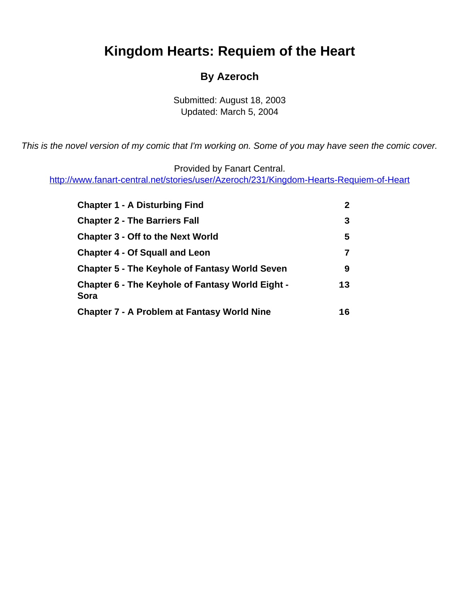# <span id="page-0-0"></span>**Kingdom Hearts: Requiem of the Heart**

#### **By Azeroch**

Submitted: August 18, 2003 Updated: March 5, 2004

This is the novel version of my comic that I'm working on. Some of you may have seen the comic cover.

Provided by Fanart Central.

[http://www.fanart-central.net/stories/user/Azeroch/231/Kingdom-Hearts-Requiem-of-Heart](#page-0-0)

| <b>Chapter 1 - A Disturbing Find</b>                            | 2  |
|-----------------------------------------------------------------|----|
| <b>Chapter 2 - The Barriers Fall</b>                            | 3  |
| <b>Chapter 3 - Off to the Next World</b>                        | 5  |
| <b>Chapter 4 - Of Squall and Leon</b>                           | 7  |
| <b>Chapter 5 - The Keyhole of Fantasy World Seven</b>           | 9  |
| <b>Chapter 6 - The Keyhole of Fantasy World Eight -</b><br>Sora | 13 |
| <b>Chapter 7 - A Problem at Fantasy World Nine</b>              | 16 |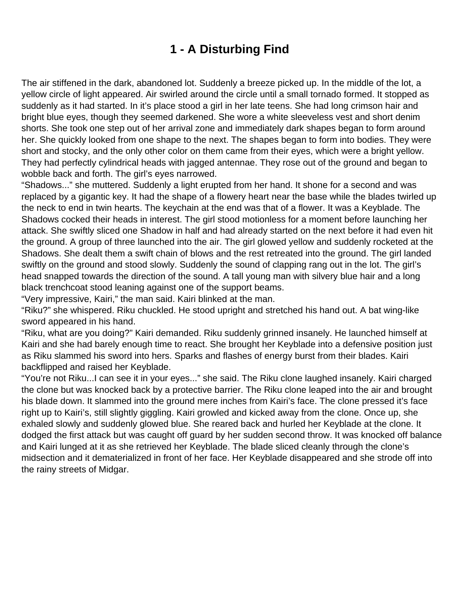## **1 - A Disturbing Find**

<span id="page-1-0"></span>The air stiffened in the dark, abandoned lot. Suddenly a breeze picked up. In the middle of the lot, a yellow circle of light appeared. Air swirled around the circle until a small tornado formed. It stopped as suddenly as it had started. In it's place stood a girl in her late teens. She had long crimson hair and bright blue eyes, though they seemed darkened. She wore a white sleeveless vest and short denim shorts. She took one step out of her arrival zone and immediately dark shapes began to form around her. She quickly looked from one shape to the next. The shapes began to form into bodies. They were short and stocky, and the only other color on them came from their eyes, which were a bright yellow. They had perfectly cylindrical heads with jagged antennae. They rose out of the ground and began to wobble back and forth. The girl's eyes narrowed.

"Shadows..." she muttered. Suddenly a light erupted from her hand. It shone for a second and was replaced by a gigantic key. It had the shape of a flowery heart near the base while the blades twirled up the neck to end in twin hearts. The keychain at the end was that of a flower. It was a Keyblade. The Shadows cocked their heads in interest. The girl stood motionless for a moment before launching her attack. She swiftly sliced one Shadow in half and had already started on the next before it had even hit the ground. A group of three launched into the air. The girl glowed yellow and suddenly rocketed at the Shadows. She dealt them a swift chain of blows and the rest retreated into the ground. The girl landed swiftly on the ground and stood slowly. Suddenly the sound of clapping rang out in the lot. The girl's head snapped towards the direction of the sound. A tall young man with silvery blue hair and a long black trenchcoat stood leaning against one of the support beams.

"Very impressive, Kairi," the man said. Kairi blinked at the man.

"Riku?" she whispered. Riku chuckled. He stood upright and stretched his hand out. A bat wing-like sword appeared in his hand.

"Riku, what are you doing?" Kairi demanded. Riku suddenly grinned insanely. He launched himself at Kairi and she had barely enough time to react. She brought her Keyblade into a defensive position just as Riku slammed his sword into hers. Sparks and flashes of energy burst from their blades. Kairi backflipped and raised her Keyblade.

"You're not Riku...I can see it in your eyes..." she said. The Riku clone laughed insanely. Kairi charged the clone but was knocked back by a protective barrier. The Riku clone leaped into the air and brought his blade down. It slammed into the ground mere inches from Kairi's face. The clone pressed it's face right up to Kairi's, still slightly giggling. Kairi growled and kicked away from the clone. Once up, she exhaled slowly and suddenly glowed blue. She reared back and hurled her Keyblade at the clone. It dodged the first attack but was caught off guard by her sudden second throw. It was knocked off balance and Kairi lunged at it as she retrieved her Keyblade. The blade sliced cleanly through the clone's midsection and it dematerialized in front of her face. Her Keyblade disappeared and she strode off into the rainy streets of Midgar.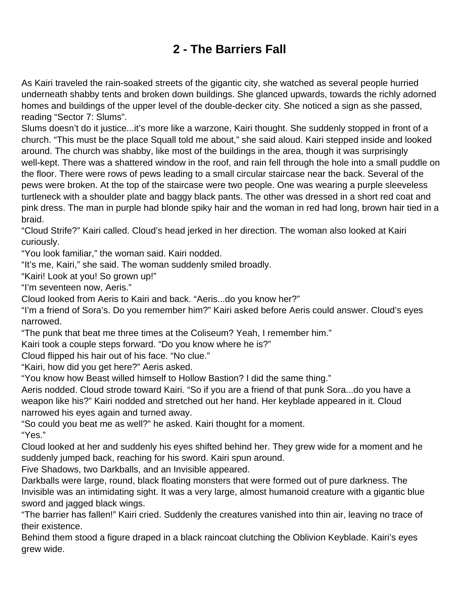# **2 - The Barriers Fall**

<span id="page-2-0"></span>As Kairi traveled the rain-soaked streets of the gigantic city, she watched as several people hurried underneath shabby tents and broken down buildings. She glanced upwards, towards the richly adorned homes and buildings of the upper level of the double-decker city. She noticed a sign as she passed, reading "Sector 7: Slums".

Slums doesn't do it justice...it's more like a warzone, Kairi thought. She suddenly stopped in front of a church. "This must be the place Squall told me about," she said aloud. Kairi stepped inside and looked around. The church was shabby, like most of the buildings in the area, though it was surprisingly well-kept. There was a shattered window in the roof, and rain fell through the hole into a small puddle on the floor. There were rows of pews leading to a small circular staircase near the back. Several of the pews were broken. At the top of the staircase were two people. One was wearing a purple sleeveless turtleneck with a shoulder plate and baggy black pants. The other was dressed in a short red coat and pink dress. The man in purple had blonde spiky hair and the woman in red had long, brown hair tied in a braid.

"Cloud Strife?" Kairi called. Cloud's head jerked in her direction. The woman also looked at Kairi curiously.

"You look familiar," the woman said. Kairi nodded.

"It's me, Kairi," she said. The woman suddenly smiled broadly.

"Kairi! Look at you! So grown up!"

"I'm seventeen now, Aeris."

Cloud looked from Aeris to Kairi and back. "Aeris...do you know her?"

"I'm a friend of Sora's. Do you remember him?" Kairi asked before Aeris could answer. Cloud's eyes narrowed.

"The punk that beat me three times at the Coliseum? Yeah, I remember him."

Kairi took a couple steps forward. "Do you know where he is?"

Cloud flipped his hair out of his face. "No clue."

"Kairi, how did you get here?" Aeris asked.

"You know how Beast willed himself to Hollow Bastion? I did the same thing."

Aeris nodded. Cloud strode toward Kairi. "So if you are a friend of that punk Sora...do you have a weapon like his?" Kairi nodded and stretched out her hand. Her keyblade appeared in it. Cloud narrowed his eyes again and turned away.

"So could you beat me as well?" he asked. Kairi thought for a moment. "Yes."

Cloud looked at her and suddenly his eyes shifted behind her. They grew wide for a moment and he suddenly jumped back, reaching for his sword. Kairi spun around.

Five Shadows, two Darkballs, and an Invisible appeared.

Darkballs were large, round, black floating monsters that were formed out of pure darkness. The Invisible was an intimidating sight. It was a very large, almost humanoid creature with a gigantic blue sword and jagged black wings.

"The barrier has fallen!" Kairi cried. Suddenly the creatures vanished into thin air, leaving no trace of their existence.

Behind them stood a figure draped in a black raincoat clutching the Oblivion Keyblade. Kairi's eyes grew wide.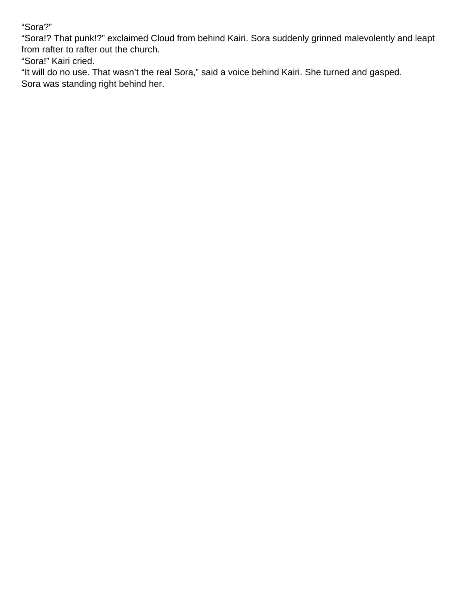"Sora?"

"Sora!? That punk!?" exclaimed Cloud from behind Kairi. Sora suddenly grinned malevolently and leapt from rafter to rafter out the church.

"Sora!" Kairi cried.

"It will do no use. That wasn't the real Sora," said a voice behind Kairi. She turned and gasped. Sora was standing right behind her.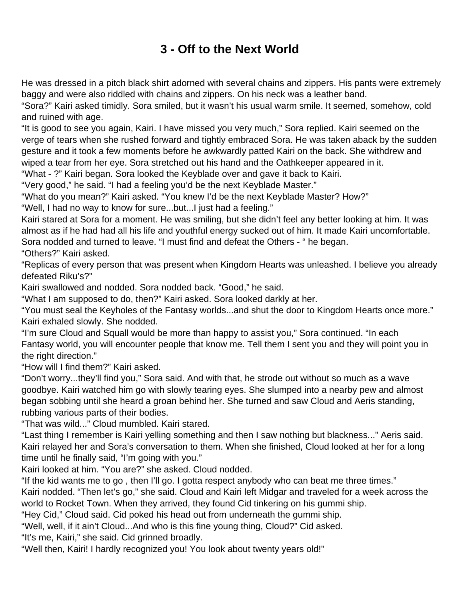## **3 - Off to the Next World**

<span id="page-4-0"></span>He was dressed in a pitch black shirt adorned with several chains and zippers. His pants were extremely baggy and were also riddled with chains and zippers. On his neck was a leather band.

"Sora?" Kairi asked timidly. Sora smiled, but it wasn't his usual warm smile. It seemed, somehow, cold and ruined with age.

"It is good to see you again, Kairi. I have missed you very much," Sora replied. Kairi seemed on the verge of tears when she rushed forward and tightly embraced Sora. He was taken aback by the sudden gesture and it took a few moments before he awkwardly patted Kairi on the back. She withdrew and wiped a tear from her eye. Sora stretched out his hand and the Oathkeeper appeared in it.

"What - ?" Kairi began. Sora looked the Keyblade over and gave it back to Kairi.

"Very good," he said. "I had a feeling you'd be the next Keyblade Master."

"What do you mean?" Kairi asked. "You knew I'd be the next Keyblade Master? How?"

"Well, I had no way to know for sure...but...I just had a feeling."

Kairi stared at Sora for a moment. He was smiling, but she didn't feel any better looking at him. It was almost as if he had had all his life and youthful energy sucked out of him. It made Kairi uncomfortable. Sora nodded and turned to leave. "I must find and defeat the Others - " he began. "Others?" Kairi asked.

"Replicas of every person that was present when Kingdom Hearts was unleashed. I believe you already defeated Riku's?"

Kairi swallowed and nodded. Sora nodded back. "Good," he said.

"What I am supposed to do, then?" Kairi asked. Sora looked darkly at her.

"You must seal the Keyholes of the Fantasy worlds...and shut the door to Kingdom Hearts once more." Kairi exhaled slowly. She nodded.

"I'm sure Cloud and Squall would be more than happy to assist you," Sora continued. "In each Fantasy world, you will encounter people that know me. Tell them I sent you and they will point you in the right direction."

"How will I find them?" Kairi asked.

"Don't worry...they'll find you," Sora said. And with that, he strode out without so much as a wave goodbye. Kairi watched him go with slowly tearing eyes. She slumped into a nearby pew and almost began sobbing until she heard a groan behind her. She turned and saw Cloud and Aeris standing, rubbing various parts of their bodies.

"That was wild..." Cloud mumbled. Kairi stared.

"Last thing I remember is Kairi yelling something and then I saw nothing but blackness..." Aeris said. Kairi relayed her and Sora's conversation to them. When she finished, Cloud looked at her for a long time until he finally said, "I'm going with you."

Kairi looked at him. "You are?" she asked. Cloud nodded.

"If the kid wants me to go , then I'll go. I gotta respect anybody who can beat me three times."

Kairi nodded. "Then let's go," she said. Cloud and Kairi left Midgar and traveled for a week across the world to Rocket Town. When they arrived, they found Cid tinkering on his gummi ship.

"Hey Cid," Cloud said. Cid poked his head out from underneath the gummi ship.

"Well, well, if it ain't Cloud...And who is this fine young thing, Cloud?" Cid asked.

"It's me, Kairi," she said. Cid grinned broadly.

"Well then, Kairi! I hardly recognized you! You look about twenty years old!"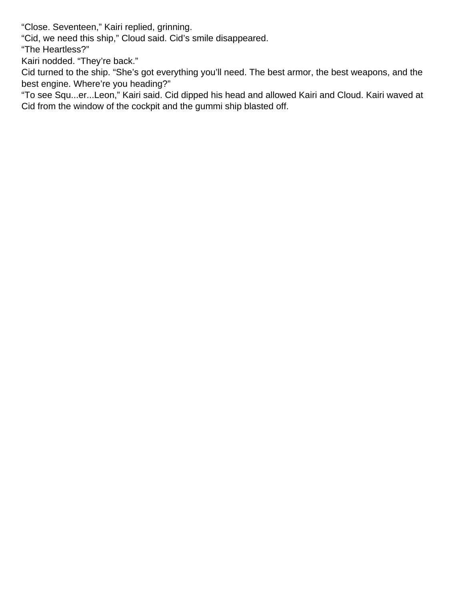"Close. Seventeen," Kairi replied, grinning.

"Cid, we need this ship," Cloud said. Cid's smile disappeared.

"The Heartless?"

Kairi nodded. "They're back."

Cid turned to the ship. "She's got everything you'll need. The best armor, the best weapons, and the best engine. Where're you heading?"

"To see Squ...er...Leon," Kairi said. Cid dipped his head and allowed Kairi and Cloud. Kairi waved at Cid from the window of the cockpit and the gummi ship blasted off.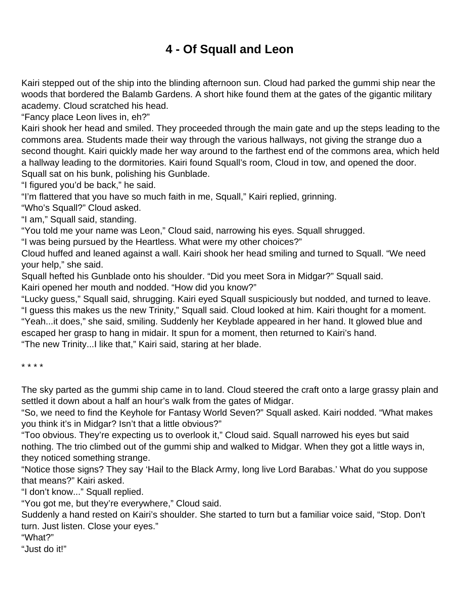## **4 - Of Squall and Leon**

<span id="page-6-0"></span>Kairi stepped out of the ship into the blinding afternoon sun. Cloud had parked the gummi ship near the woods that bordered the Balamb Gardens. A short hike found them at the gates of the gigantic military academy. Cloud scratched his head.

"Fancy place Leon lives in, eh?"

Kairi shook her head and smiled. They proceeded through the main gate and up the steps leading to the commons area. Students made their way through the various hallways, not giving the strange duo a second thought. Kairi quickly made her way around to the farthest end of the commons area, which held a hallway leading to the dormitories. Kairi found Squall's room, Cloud in tow, and opened the door. Squall sat on his bunk, polishing his Gunblade.

"I figured you'd be back," he said.

"I'm flattered that you have so much faith in me, Squall," Kairi replied, grinning.

"Who's Squall?" Cloud asked.

"I am," Squall said, standing.

"You told me your name was Leon," Cloud said, narrowing his eyes. Squall shrugged.

"I was being pursued by the Heartless. What were my other choices?"

Cloud huffed and leaned against a wall. Kairi shook her head smiling and turned to Squall. "We need your help," she said.

Squall hefted his Gunblade onto his shoulder. "Did you meet Sora in Midgar?" Squall said.

Kairi opened her mouth and nodded. "How did you know?"

"Lucky guess," Squall said, shrugging. Kairi eyed Squall suspiciously but nodded, and turned to leave. "I guess this makes us the new Trinity," Squall said. Cloud looked at him. Kairi thought for a moment. "Yeah...it does," she said, smiling. Suddenly her Keyblade appeared in her hand. It glowed blue and escaped her grasp to hang in midair. It spun for a moment, then returned to Kairi's hand. "The new Trinity...I like that," Kairi said, staring at her blade.

\* \* \* \*

The sky parted as the gummi ship came in to land. Cloud steered the craft onto a large grassy plain and settled it down about a half an hour's walk from the gates of Midgar.

"So, we need to find the Keyhole for Fantasy World Seven?" Squall asked. Kairi nodded. "What makes you think it's in Midgar? Isn't that a little obvious?"

"Too obvious. They're expecting us to overlook it," Cloud said. Squall narrowed his eyes but said nothing. The trio climbed out of the gummi ship and walked to Midgar. When they got a little ways in, they noticed something strange.

"Notice those signs? They say 'Hail to the Black Army, long live Lord Barabas.' What do you suppose that means?" Kairi asked.

"I don't know..." Squall replied.

"You got me, but they're everywhere," Cloud said.

Suddenly a hand rested on Kairi's shoulder. She started to turn but a familiar voice said, "Stop. Don't turn. Just listen. Close your eyes."

"What?"

"Just do it!"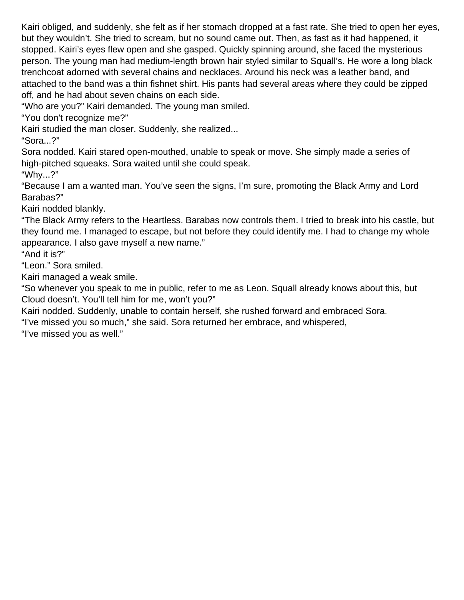Kairi obliged, and suddenly, she felt as if her stomach dropped at a fast rate. She tried to open her eyes, but they wouldn't. She tried to scream, but no sound came out. Then, as fast as it had happened, it stopped. Kairi's eyes flew open and she gasped. Quickly spinning around, she faced the mysterious person. The young man had medium-length brown hair styled similar to Squall's. He wore a long black trenchcoat adorned with several chains and necklaces. Around his neck was a leather band, and attached to the band was a thin fishnet shirt. His pants had several areas where they could be zipped off, and he had about seven chains on each side.

"Who are you?" Kairi demanded. The young man smiled.

"You don't recognize me?"

Kairi studied the man closer. Suddenly, she realized...

"Sora...?"

Sora nodded. Kairi stared open-mouthed, unable to speak or move. She simply made a series of high-pitched squeaks. Sora waited until she could speak. "Why...?"

"Because I am a wanted man. You've seen the signs, I'm sure, promoting the Black Army and Lord Barabas?"

Kairi nodded blankly.

"The Black Army refers to the Heartless. Barabas now controls them. I tried to break into his castle, but they found me. I managed to escape, but not before they could identify me. I had to change my whole appearance. I also gave myself a new name."

"And it is?"

"Leon." Sora smiled.

Kairi managed a weak smile.

"So whenever you speak to me in public, refer to me as Leon. Squall already knows about this, but Cloud doesn't. You'll tell him for me, won't you?"

Kairi nodded. Suddenly, unable to contain herself, she rushed forward and embraced Sora.

"I've missed you so much," she said. Sora returned her embrace, and whispered,

"I've missed you as well."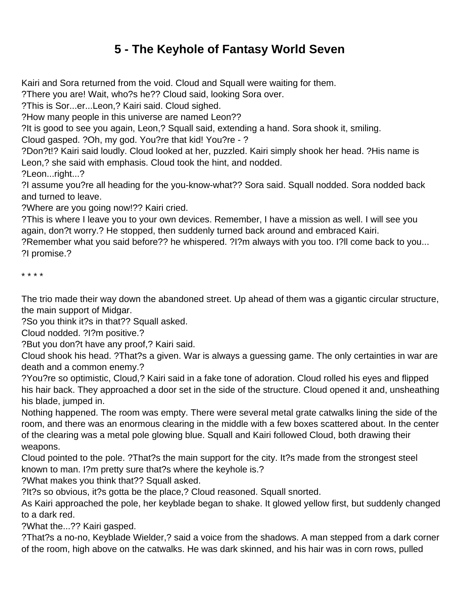## **5 - The Keyhole of Fantasy World Seven**

<span id="page-8-0"></span>Kairi and Sora returned from the void. Cloud and Squall were waiting for them.

?There you are! Wait, who?s he?? Cloud said, looking Sora over.

?This is Sor...er...Leon,? Kairi said. Cloud sighed.

?How many people in this universe are named Leon??

?It is good to see you again, Leon,? Squall said, extending a hand. Sora shook it, smiling.

Cloud gasped. ?Oh, my god. You?re that kid! You?re - ?

?Don?t!? Kairi said loudly. Cloud looked at her, puzzled. Kairi simply shook her head. ?His name is Leon,? she said with emphasis. Cloud took the hint, and nodded.

?Leon...right...?

?I assume you?re all heading for the you-know-what?? Sora said. Squall nodded. Sora nodded back and turned to leave.

?Where are you going now!?? Kairi cried.

?This is where I leave you to your own devices. Remember, I have a mission as well. I will see you again, don?t worry.? He stopped, then suddenly turned back around and embraced Kairi.

?Remember what you said before?? he whispered. ?I?m always with you too. I?ll come back to you... ?I promise.?

\* \* \* \*

The trio made their way down the abandoned street. Up ahead of them was a gigantic circular structure, the main support of Midgar.

?So you think it?s in that?? Squall asked.

Cloud nodded. ?I?m positive.?

?But you don?t have any proof,? Kairi said.

Cloud shook his head. ?That?s a given. War is always a guessing game. The only certainties in war are death and a common enemy.?

?You?re so optimistic, Cloud,? Kairi said in a fake tone of adoration. Cloud rolled his eyes and flipped his hair back. They approached a door set in the side of the structure. Cloud opened it and, unsheathing his blade, jumped in.

Nothing happened. The room was empty. There were several metal grate catwalks lining the side of the room, and there was an enormous clearing in the middle with a few boxes scattered about. In the center of the clearing was a metal pole glowing blue. Squall and Kairi followed Cloud, both drawing their weapons.

Cloud pointed to the pole. ?That?s the main support for the city. It?s made from the strongest steel known to man. I?m pretty sure that?s where the keyhole is.?

?What makes you think that?? Squall asked.

?It?s so obvious, it?s gotta be the place,? Cloud reasoned. Squall snorted.

As Kairi approached the pole, her keyblade began to shake. It glowed yellow first, but suddenly changed to a dark red.

?What the...?? Kairi gasped.

?That?s a no-no, Keyblade Wielder,? said a voice from the shadows. A man stepped from a dark corner of the room, high above on the catwalks. He was dark skinned, and his hair was in corn rows, pulled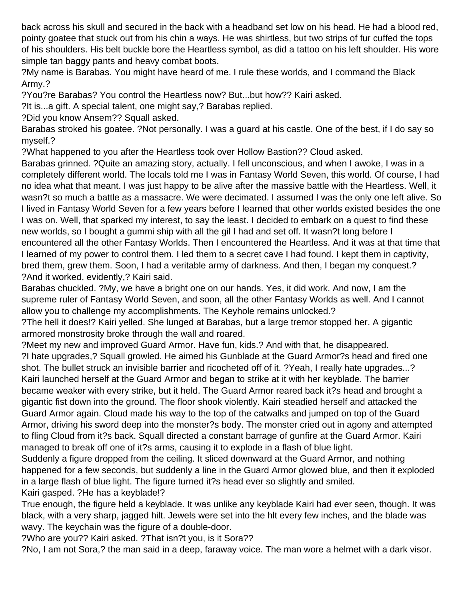back across his skull and secured in the back with a headband set low on his head. He had a blood red, pointy goatee that stuck out from his chin a ways. He was shirtless, but two strips of fur cuffed the tops of his shoulders. His belt buckle bore the Heartless symbol, as did a tattoo on his left shoulder. His wore simple tan baggy pants and heavy combat boots.

?My name is Barabas. You might have heard of me. I rule these worlds, and I command the Black Army.?

?You?re Barabas? You control the Heartless now? But...but how?? Kairi asked.

?It is...a gift. A special talent, one might say,? Barabas replied.

?Did you know Ansem?? Squall asked.

Barabas stroked his goatee. ?Not personally. I was a guard at his castle. One of the best, if I do say so myself.?

?What happened to you after the Heartless took over Hollow Bastion?? Cloud asked.

Barabas grinned. ?Quite an amazing story, actually. I fell unconscious, and when I awoke, I was in a completely different world. The locals told me I was in Fantasy World Seven, this world. Of course, I had no idea what that meant. I was just happy to be alive after the massive battle with the Heartless. Well, it wasn?t so much a battle as a massacre. We were decimated. I assumed I was the only one left alive. So I lived in Fantasy World Seven for a few years before I learned that other worlds existed besides the one I was on. Well, that sparked my interest, to say the least. I decided to embark on a quest to find these new worlds, so I bought a gummi ship with all the gil I had and set off. It wasn?t long before I encountered all the other Fantasy Worlds. Then I encountered the Heartless. And it was at that time that I learned of my power to control them. I led them to a secret cave I had found. I kept them in captivity, bred them, grew them. Soon, I had a veritable army of darkness. And then, I began my conquest.? ?And it worked, evidently,? Kairi said.

Barabas chuckled. ?My, we have a bright one on our hands. Yes, it did work. And now, I am the supreme ruler of Fantasy World Seven, and soon, all the other Fantasy Worlds as well. And I cannot allow you to challenge my accomplishments. The Keyhole remains unlocked.?

?The hell it does!? Kairi yelled. She lunged at Barabas, but a large tremor stopped her. A gigantic armored monstrosity broke through the wall and roared.

?Meet my new and improved Guard Armor. Have fun, kids.? And with that, he disappeared. ?I hate upgrades,? Squall growled. He aimed his Gunblade at the Guard Armor?s head and fired one shot. The bullet struck an invisible barrier and ricocheted off of it. ?Yeah, I really hate upgrades...? Kairi launched herself at the Guard Armor and began to strike at it with her keyblade. The barrier became weaker with every strike, but it held. The Guard Armor reared back it?s head and brought a gigantic fist down into the ground. The floor shook violently. Kairi steadied herself and attacked the Guard Armor again. Cloud made his way to the top of the catwalks and jumped on top of the Guard Armor, driving his sword deep into the monster?s body. The monster cried out in agony and attempted to fling Cloud from it?s back. Squall directed a constant barrage of gunfire at the Guard Armor. Kairi managed to break off one of it?s arms, causing it to explode in a flash of blue light.

Suddenly a figure dropped from the ceiling. It sliced downward at the Guard Armor, and nothing happened for a few seconds, but suddenly a line in the Guard Armor glowed blue, and then it exploded in a large flash of blue light. The figure turned it?s head ever so slightly and smiled. Kairi gasped. ?He has a keyblade!?

True enough, the figure held a keyblade. It was unlike any keyblade Kairi had ever seen, though. It was black, with a very sharp, jagged hilt. Jewels were set into the hlt every few inches, and the blade was wavy. The keychain was the figure of a double-door.

?Who are you?? Kairi asked. ?That isn?t you, is it Sora??

?No, I am not Sora,? the man said in a deep, faraway voice. The man wore a helmet with a dark visor.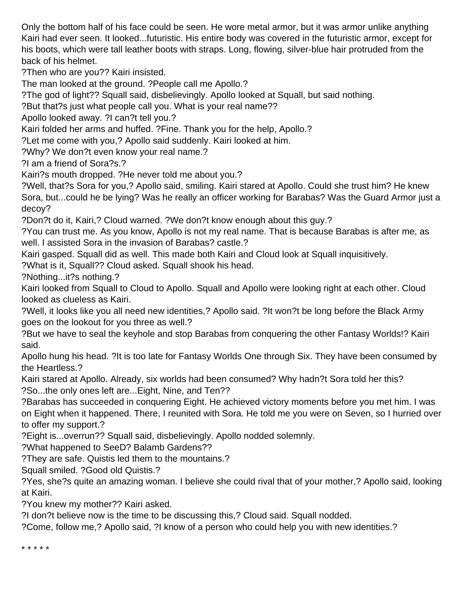Only the bottom half of his face could be seen. He wore metal armor, but it was armor unlike anything Kairi had ever seen. It looked...futuristic. His entire body was covered in the futuristic armor, except for his boots, which were tall leather boots with straps. Long, flowing, silver-blue hair protruded from the back of his helmet.

?Then who are you?? Kairi insisted.

The man looked at the ground. ?People call me Apollo.?

?The god of light?? Squall said, disbelievingly. Apollo looked at Squall, but said nothing.

?But that?s just what people call you. What is your real name??

Apollo looked away. ?I can?t tell you.?

Kairi folded her arms and huffed. ?Fine. Thank you for the help, Apollo.?

?Let me come with you,? Apollo said suddenly. Kairi looked at him.

?Why? We don?t even know your real name.?

?I am a friend of Sora?s.?

Kairi?s mouth dropped. ?He never told me about you.?

?Well, that?s Sora for you,? Apollo said, smiling. Kairi stared at Apollo. Could she trust him? He knew Sora, but...could he be lying? Was he really an officer working for Barabas? Was the Guard Armor just a decoy?

?Don?t do it, Kairi,? Cloud warned. ?We don?t know enough about this guy.?

?You can trust me. As you know, Apollo is not my real name. That is because Barabas is after me, as well. I assisted Sora in the invasion of Barabas? castle.?

Kairi gasped. Squall did as well. This made both Kairi and Cloud look at Squall inquisitively.

?What is it, Squall?? Cloud asked. Squall shook his head.

?Nothing...it?s nothing.?

Kairi looked from Squall to Cloud to Apollo. Squall and Apollo were looking right at each other. Cloud looked as clueless as Kairi.

?Well, it looks like you all need new identities,? Apollo said. ?It won?t be long before the Black Army goes on the lookout for you three as well.?

?But we have to seal the keyhole and stop Barabas from conquering the other Fantasy Worlds!? Kairi said.

Apollo hung his head. ?It is too late for Fantasy Worlds One through Six. They have been consumed by the Heartless.?

Kairi stared at Apollo. Already, six worlds had been consumed? Why hadn?t Sora told her this? ?So...the only ones left are...Eight, Nine, and Ten??

?Barabas has succeeded in conquering Eight. He achieved victory moments before you met him. I was on Eight when it happened. There, I reunited with Sora. He told me you were on Seven, so I hurried over to offer my support.?

?Eight is...overrun?? Squall said, disbelievingly. Apollo nodded solemnly.

?What happened to SeeD? Balamb Gardens??

?They are safe. Quistis led them to the mountains.?

Squall smiled. ?Good old Quistis.?

?Yes, she?s quite an amazing woman. I believe she could rival that of your mother,? Apollo said, looking at Kairi.

?You knew my mother?? Kairi asked.

?I don?t believe now is the time to be discussing this,? Cloud said. Squall nodded.

?Come, follow me,? Apollo said, ?I know of a person who could help you with new identities.?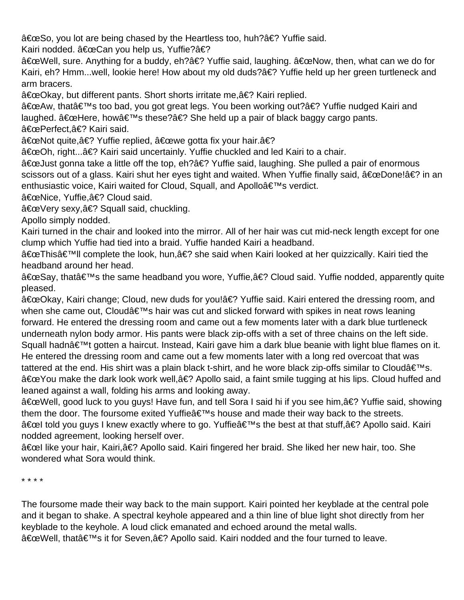"So, you lot are being chased by the Heartless too, huh?� Yuffie said.

Kairi nodded. "Can you help us, Yuffie?�

"Well, sure. Anything for a buddy, eh?� Yuffie said, laughing. "Now, then, what can we do for Kairi, eh? Hmm...well, lookie here! How about my old duds?� Yuffie held up her green turtleneck and arm bracers.

"Okay, but different pants. Short shorts irritate me,� Kairi replied.

"Aw, that's too bad, you got great legs. You been working out?� Yuffie nudged Kairi and laughed.  $\hat{a} \in \text{ceHere}$ , how $\hat{a} \in \text{meas}$  these? $\hat{a} \in \text{meas}$  She held up a pair of black baggy cargo pants.

"Perfect,� Kairi said.

"Not quite,� Yuffie replied, "we gotta fix your hair.�

"Oh, right...� Kairi said uncertainly. Yuffie chuckled and led Kairi to a chair.

"Just gonna take a little off the top, eh?� Yuffie said, laughing. She pulled a pair of enormous scissors out of a glass. Kairi shut her eyes tight and waited. When Yuffie finally said, "Done!� in an enthusiastic voice, Kairi waited for Cloud, Squall, and Apollo's verdict.

"Nice, Yuffie,� Cloud said.

"Very sexy,� Squall said, chuckling.

Apollo simply nodded.

Kairi turned in the chair and looked into the mirror. All of her hair was cut mid-neck length except for one clump which Yuffie had tied into a braid. Yuffie handed Kairi a headband.

"This'II complete the look, hun,� she said when Kairi looked at her quizzically. Kairi tied the headband around her head.

"Say, that's the same headband you wore, Yuffie,� Cloud said. Yuffie nodded, apparently quite pleased.

"Okay, Kairi change; Cloud, new duds for you!� Yuffie said. Kairi entered the dressing room, and when she came out, Cloud's hair was cut and slicked forward with spikes in neat rows leaning forward. He entered the dressing room and came out a few moments later with a dark blue turtleneck underneath nylon body armor. His pants were black zip-offs with a set of three chains on the left side. Squall hadn't gotten a haircut. Instead, Kairi gave him a dark blue beanie with light blue flames on it. He entered the dressing room and came out a few moments later with a long red overcoat that was tattered at the end. His shirt was a plain black t-shirt, and he wore black zip-offs similar to Cloudâ $\epsilon \in \mathbb{N}$ s. "You make the dark look work well,� Apollo said, a faint smile tugging at his lips. Cloud huffed and leaned against a wall, folding his arms and looking away.

"Well, good luck to you guys! Have fun, and tell Sora I said hi if you see him,� Yuffie said, showing them the door. The foursome exited Yuffie  $\hat{\epsilon}$ <sup>TM</sup>s house and made their way back to the streets. "l told you guys I knew exactly where to go. Yuffie's the best at that stuff,� Apollo said. Kairi nodded agreement, looking herself over.

"l like your hair, Kairi,� Apollo said. Kairi fingered her braid. She liked her new hair, too. She wondered what Sora would think.

\* \* \* \*

The foursome made their way back to the main support. Kairi pointed her keyblade at the central pole and it began to shake. A spectral keyhole appeared and a thin line of blue light shot directly from her keyblade to the keyhole. A loud click emanated and echoed around the metal walls. "Well, that's it for Seven,� Apollo said. Kairi nodded and the four turned to leave.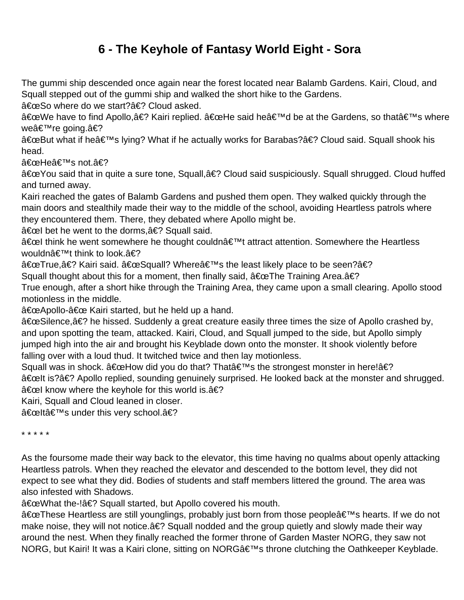## **6 - The Keyhole of Fantasy World Eight - Sora**

<span id="page-12-0"></span>The gummi ship descended once again near the forest located near Balamb Gardens. Kairi, Cloud, and Squall stepped out of the gummi ship and walked the short hike to the Gardens.

"So where do we start?� Cloud asked.

"We have to find Apollo,� Kairi replied. "He said he'd be at the Gardens, so that's where weâ€<sup>⊤м</sup>re going.â€?

"But what if he's lying? What if he actually works for Barabas?� Cloud said. Squall shook his head.

"Heâ€<sup>⊤m</sup>s not.â€?

"You said that in quite a sure tone, Squall,� Cloud said suspiciously. Squall shrugged. Cloud huffed and turned away.

Kairi reached the gates of Balamb Gardens and pushed them open. They walked quickly through the main doors and stealthily made their way to the middle of the school, avoiding Heartless patrols where they encountered them. There, they debated where Apollo might be.

 $\hat{a} \in \text{cell}$  bet he went to the dorms,  $\hat{a} \in ?$  Squall said.

"l think he went somewhere he thought couldn't attract attention. Somewhere the Heartless wouldn $\hat{\mathbf{a}} \in \mathbb{M}$ t think to look. $\hat{\mathbf{a}} \in \mathbb{R}$ 

"True,� Kairi said. "Squall? Where's the least likely place to be seen?�

Squall thought about this for a moment, then finally said,  $â€ceThe Training Area.â€?$ 

True enough, after a short hike through the Training Area, they came upon a small clearing. Apollo stood motionless in the middle.

"Apollo-" Kairi started, but he held up a hand.

"Silence,� he hissed. Suddenly a great creature easily three times the size of Apollo crashed by, and upon spotting the team, attacked. Kairi, Cloud, and Squall jumped to the side, but Apollo simply jumped high into the air and brought his Keyblade down onto the monster. It shook violently before falling over with a loud thud. It twitched twice and then lay motionless.

Squall was in shock. "How did you do that? That's the strongest monster in here!� "lt is?� Apollo replied, sounding genuinely surprised. He looked back at the monster and shrugged. "l know where the keyhole for this world is.�

Kairi, Squall and Cloud leaned in closer.

"lt's under this very school.�

\* \* \* \* \*

As the foursome made their way back to the elevator, this time having no qualms about openly attacking Heartless patrols. When they reached the elevator and descended to the bottom level, they did not expect to see what they did. Bodies of students and staff members littered the ground. The area was also infested with Shadows.

"What the-!� Squall started, but Apollo covered his mouth.

"These Heartless are still younglings, probably just born from those people's hearts. If we do not make noise, they will not notice. a€? Squall nodded and the group quietly and slowly made their way around the nest. When they finally reached the former throne of Garden Master NORG, they saw not NORG, but Kairi! It was a Kairi clone, sitting on NORG's throne clutching the Oathkeeper Keyblade.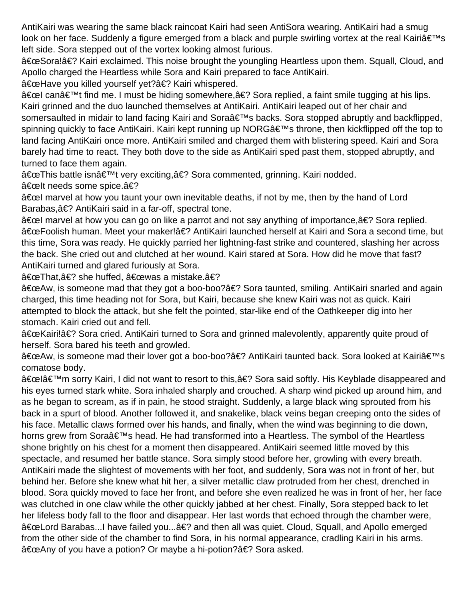AntiKairi was wearing the same black raincoat Kairi had seen AntiSora wearing. AntiKairi had a smug look on her face. Suddenly a figure emerged from a black and purple swirling vortex at the real Kairi $\hat{a} \in \mathbb{N}$ s left side. Sora stepped out of the vortex looking almost furious.

"Sora!� Kairi exclaimed. This noise brought the youngling Heartless upon them. Squall, Cloud, and Apollo charged the Heartless while Sora and Kairi prepared to face AntiKairi.

"Have you killed yourself yet?� Kairi whispered.

"l can't find me. I must be hiding somewhere,� Sora replied, a faint smile tugging at his lips. Kairi grinned and the duo launched themselves at AntiKairi. AntiKairi leaped out of her chair and somersaulted in midair to land facing Kairi and Soraâ€<sup>™</sup>s backs. Sora stopped abruptly and backflipped, spinning quickly to face AntiKairi. Kairi kept running up NORG's throne, then kickflipped off the top to land facing AntiKairi once more. AntiKairi smiled and charged them with blistering speed. Kairi and Sora barely had time to react. They both dove to the side as AntiKairi sped past them, stopped abruptly, and turned to face them again.

"This battle isn't very exciting,� Sora commented, grinning. Kairi nodded. "lt needs some spice.�

 $\hat{a} \in \text{cell}$  marvel at how you taunt your own inevitable deaths, if not by me, then by the hand of Lord Barabas,� AntiKairi said in a far-off, spectral tone.

"l marvel at how you can go on like a parrot and not say anything of importance,� Sora replied. "Foolish human. Meet your maker!� AntiKairi launched herself at Kairi and Sora a second time, but this time, Sora was ready. He quickly parried her lightning-fast strike and countered, slashing her across the back. She cried out and clutched at her wound. Kairi stared at Sora. How did he move that fast? AntiKairi turned and glared furiously at Sora.

"That,� she huffed, "was a mistake.�

"Aw, is someone mad that they got a boo-boo?� Sora taunted, smiling. AntiKairi snarled and again charged, this time heading not for Sora, but Kairi, because she knew Kairi was not as quick. Kairi attempted to block the attack, but she felt the pointed, star-like end of the Oathkeeper dig into her stomach. Kairi cried out and fell.

"Kairi!� Sora cried. AntiKairi turned to Sora and grinned malevolently, apparently quite proud of herself. Sora bared his teeth and growled.

"Aw, is someone mad their lover got a boo-boo?� AntiKairi taunted back. Sora looked at Kairi's comatose body.

"lâ€<sup>™</sup>m sorry Kairi, I did not want to resort to this,â€? Sora said softly. His Keyblade disappeared and his eyes turned stark white. Sora inhaled sharply and crouched. A sharp wind picked up around him, and as he began to scream, as if in pain, he stood straight. Suddenly, a large black wing sprouted from his back in a spurt of blood. Another followed it, and snakelike, black veins began creeping onto the sides of his face. Metallic claws formed over his hands, and finally, when the wind was beginning to die down, horns grew from Soraâ€<sup>™</sup>s head. He had transformed into a Heartless. The symbol of the Heartless shone brightly on his chest for a moment then disappeared. AntiKairi seemed little moved by this spectacle, and resumed her battle stance. Sora simply stood before her, growling with every breath. AntiKairi made the slightest of movements with her foot, and suddenly, Sora was not in front of her, but behind her. Before she knew what hit her, a silver metallic claw protruded from her chest, drenched in blood. Sora quickly moved to face her front, and before she even realized he was in front of her, her face was clutched in one claw while the other quickly jabbed at her chest. Finally, Sora stepped back to let her lifeless body fall to the floor and disappear. Her last words that echoed through the chamber were, "Lord Barabas...I have failed you...� and then all was quiet. Cloud, Squall, and Apollo emerged from the other side of the chamber to find Sora, in his normal appearance, cradling Kairi in his arms. "Any of you have a potion? Or maybe a hi-potion?� Sora asked.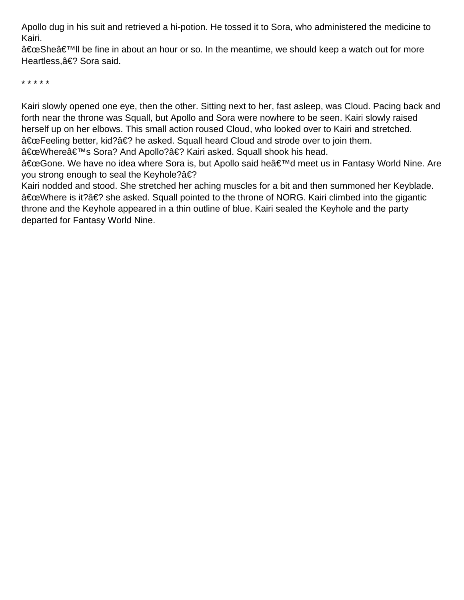Apollo dug in his suit and retrieved a hi-potion. He tossed it to Sora, who administered the medicine to Kairi.

"She'll be fine in about an hour or so. In the meantime, we should keep a watch out for more Heartless, � Sora said.

\* \* \* \* \*

Kairi slowly opened one eye, then the other. Sitting next to her, fast asleep, was Cloud. Pacing back and forth near the throne was Squall, but Apollo and Sora were nowhere to be seen. Kairi slowly raised herself up on her elbows. This small action roused Cloud, who looked over to Kairi and stretched. "Feeling better, kid?� he asked. Squall heard Cloud and strode over to join them.

"Whereâ€<sup>™</sup>s Sora? And Apollo?â€? Kairi asked. Squall shook his head.

"Gone. We have no idea where Sora is, but Apollo said he'd meet us in Fantasy World Nine. Are you strong enough to seal the Keyhole?�

Kairi nodded and stood. She stretched her aching muscles for a bit and then summoned her Keyblade. "Where is it?� she asked. Squall pointed to the throne of NORG. Kairi climbed into the gigantic throne and the Keyhole appeared in a thin outline of blue. Kairi sealed the Keyhole and the party departed for Fantasy World Nine.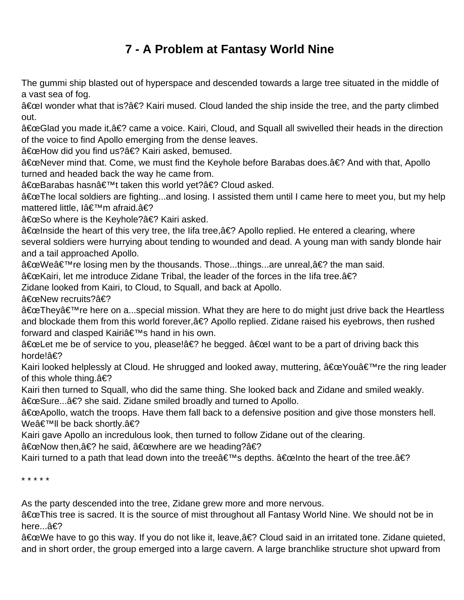# **7 - A Problem at Fantasy World Nine**

<span id="page-15-0"></span>The gummi ship blasted out of hyperspace and descended towards a large tree situated in the middle of a vast sea of fog.

"l wonder what that is?� Kairi mused. Cloud landed the ship inside the tree, and the party climbed out.

"Glad you made it,� came a voice. Kairi, Cloud, and Squall all swivelled their heads in the direction of the voice to find Apollo emerging from the dense leaves.

"How did you find us?� Kairi asked, bemused.

"Never mind that. Come, we must find the Keyhole before Barabas does.� And with that, Apollo turned and headed back the way he came from.

"Barabas hasn't taken this world yet?� Cloud asked.

"The local soldiers are fighting...and losing. I assisted them until I came here to meet you, but my help mattered little, Iâ€<sup>™</sup>m afraid.â€?

"So where is the Keyhole?� Kairi asked.

"Inside the heart of this very tree, the Iifa tree, a interpollo replied. He entered a clearing, where several soldiers were hurrying about tending to wounded and dead. A young man with sandy blonde hair and a tail approached Apollo.

"We're losing men by the thousands. Those...things...are unreal,� the man said.

"Kairi, let me introduce Zidane Tribal, the leader of the forces in the lifa tree.�

Zidane looked from Kairi, to Cloud, to Squall, and back at Apollo.

"New recruits?�

"Theyâ€<sup>™</sup>re here on a...special mission. What they are here to do might just drive back the Heartless and blockade them from this world forever, $\hat{a} \in ?$  Apollo replied. Zidane raised his eyebrows, then rushed forward and clasped Kairi's hand in his own.

"Let me be of service to you, please!� he begged. "l want to be a part of driving back this horde!�

Kairi looked helplessly at Cloud. He shrugged and looked away, muttering,  $â€ce$ You're the ring leader of this whole thing. $\hat{a} \in ?$ 

Kairi then turned to Squall, who did the same thing. She looked back and Zidane and smiled weakly. "Sure...� she said. Zidane smiled broadly and turned to Apollo.

"Apollo, watch the troops. Have them fall back to a defensive position and give those monsters hell. We'll be back shortly.�

Kairi gave Apollo an incredulous look, then turned to follow Zidane out of the clearing.

"Now then,� he said, "where are we heading?�

Kairi turned to a path that lead down into the tree  $\hat{\mathbf{a}} \in \mathbb{R}^{T M}$ s depths.  $\hat{\mathbf{a}} \in \mathbb{C}$ elnto the heart of the tree. $\hat{\mathbf{a}} \in \mathbb{R}^{T}$ 

\* \* \* \* \*

As the party descended into the tree, Zidane grew more and more nervous.

"This tree is sacred. It is the source of mist throughout all Fantasy World Nine. We should not be in here... $\hat{a} \in ?$ 

"We have to go this way. If you do not like it, leave,� Cloud said in an irritated tone. Zidane quieted, and in short order, the group emerged into a large cavern. A large branchlike structure shot upward from